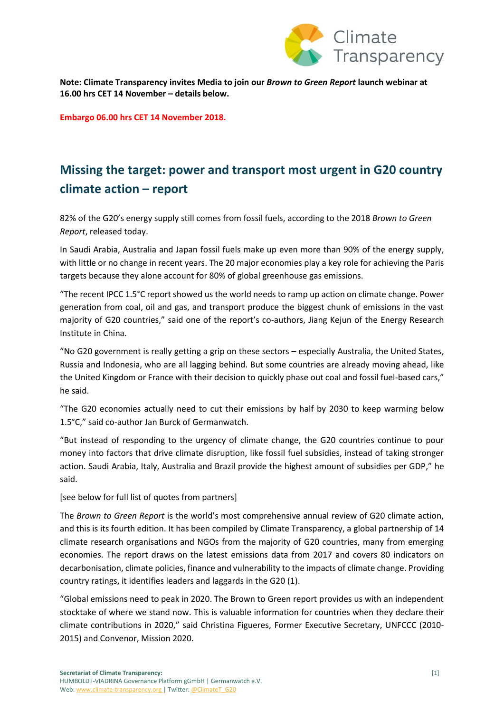

**Note: Climate Transparency invites Media to join our** *Brown to Green Report* **launch webinar at 16.00 hrs CET 14 November – details below.**

**Embargo 06.00 hrs CET 14 November 2018.**

# **Missing the target: power and transport most urgent in G20 country climate action – report**

82% of the G20's energy supply still comes from fossil fuels, according to the 2018 *Brown to Green Report*, released today.

In Saudi Arabia, Australia and Japan fossil fuels make up even more than 90% of the energy supply, with little or no change in recent years. The 20 major economies play a key role for achieving the Paris targets because they alone account for 80% of global greenhouse gas emissions.

"The recent IPCC 1.5°C report showed us the world needs to ramp up action on climate change. Power generation from coal, oil and gas, and transport produce the biggest chunk of emissions in the vast majority of G20 countries," said one of the report's co-authors, Jiang Kejun of the Energy Research Institute in China.

"No G20 government is really getting a grip on these sectors – especially Australia, the United States, Russia and Indonesia, who are all lagging behind. But some countries are already moving ahead, like the United Kingdom or France with their decision to quickly phase out coal and fossil fuel-based cars," he said.

"The G20 economies actually need to cut their emissions by half by 2030 to keep warming below 1.5°C," said co-author Jan Burck of Germanwatch.

"But instead of responding to the urgency of climate change, the G20 countries continue to pour money into factors that drive climate disruption, like fossil fuel subsidies, instead of taking stronger action. Saudi Arabia, Italy, Australia and Brazil provide the highest amount of subsidies per GDP," he said.

[see below for full list of quotes from partners]

The *Brown to Green Report* is the world's most comprehensive annual review of G20 climate action, and this is its fourth edition. It has been compiled by Climate Transparency, a global partnership of 14 climate research organisations and NGOs from the majority of G20 countries, many from emerging economies. The report draws on the latest emissions data from 2017 and covers 80 indicators on decarbonisation, climate policies, finance and vulnerability to the impacts of climate change. Providing country ratings, it identifies leaders and laggards in the G20 (1).

"Global emissions need to peak in 2020. The Brown to Green report provides us with an independent stocktake of where we stand now. This is valuable information for countries when they declare their climate contributions in 2020," said Christina Figueres, Former Executive Secretary, UNFCCC (2010- 2015) and Convenor, Mission 2020.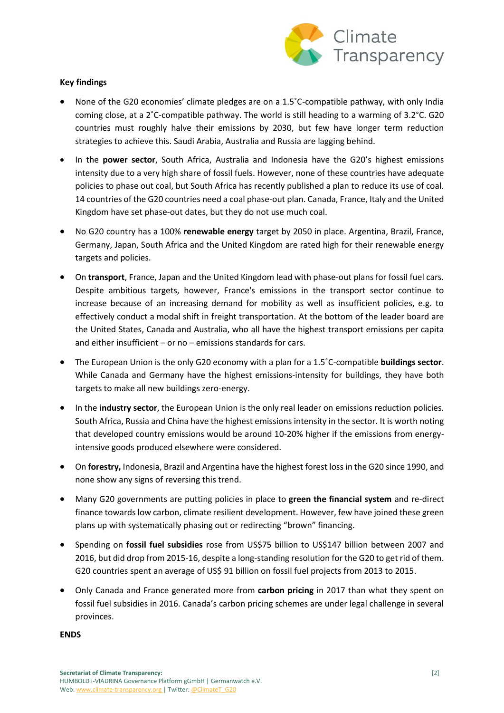

## **Key findings**

- None of the G20 economies' climate pledges are on a 1.5˚C-compatible pathway, with only India coming close, at a 2˚C-compatible pathway. The world is still heading to a warming of 3.2°C. G20 countries must roughly halve their emissions by 2030, but few have longer term reduction strategies to achieve this. Saudi Arabia, Australia and Russia are lagging behind.
- In the **power sector**, South Africa, Australia and Indonesia have the G20's highest emissions intensity due to a very high share of fossil fuels. However, none of these countries have adequate policies to phase out coal, but South Africa has recently published a plan to reduce its use of coal. 14 countries of the G20 countries need a coal phase-out plan. Canada, France, Italy and the United Kingdom have set phase-out dates, but they do not use much coal.
- No G20 country has a 100% **renewable energy** target by 2050 in place. Argentina, Brazil, France, Germany, Japan, South Africa and the United Kingdom are rated high for their renewable energy targets and policies.
- On **transport**, France, Japan and the United Kingdom lead with phase-out plans for fossil fuel cars. Despite ambitious targets, however, France's emissions in the transport sector continue to increase because of an increasing demand for mobility as well as insufficient policies, e.g. to effectively conduct a modal shift in freight transportation. At the bottom of the leader board are the United States, Canada and Australia, who all have the highest transport emissions per capita and either insufficient – or no – emissions standards for cars.
- The European Union is the only G20 economy with a plan for a 1.5˚C-compatible **buildings sector**. While Canada and Germany have the highest emissions-intensity for buildings, they have both targets to make all new buildings zero-energy.
- In the **industry sector**, the European Union is the only real leader on emissions reduction policies. South Africa, Russia and China have the highest emissions intensity in the sector. It is worth noting that developed country emissions would be around 10-20% higher if the emissions from energyintensive goods produced elsewhere were considered.
- On **forestry,** Indonesia, Brazil and Argentina have the highest forest loss in the G20 since 1990, and none show any signs of reversing this trend.
- Many G20 governments are putting policies in place to **green the financial system** and re-direct finance towards low carbon, climate resilient development. However, few have joined these green plans up with systematically phasing out or redirecting "brown" financing.
- Spending on **fossil fuel subsidies** rose from US\$75 billion to US\$147 billion between 2007 and 2016, but did drop from 2015-16, despite a long-standing resolution for the G20 to get rid of them. G20 countries spent an average of US\$ 91 billion on fossil fuel projects from 2013 to 2015.
- Only Canada and France generated more from **carbon pricing** in 2017 than what they spent on fossil fuel subsidies in 2016. Canada's carbon pricing schemes are under legal challenge in several provinces.

#### **ENDS**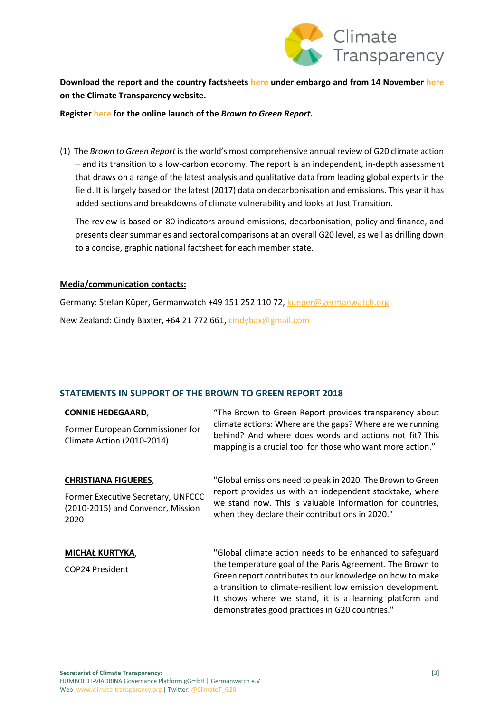

**Download the report and the country factsheets [here](https://www.dropbox.com/sh/bk3umikuzp84t9c/AACpRbNObZ9sOI8AuTNe-7vqa?dl=0) under embargo and from 14 November [here](https://www.climate-transparency.org/g20-climate-performance/g20report2018) on the Climate Transparency website.**

#### **Registe[r here](https://www.climate-transparency.org/online-launch-of-brown-to-green-report-2018) for the online launch of the** *Brown to Green Report***.**

(1) The *Brown to Green Report* is the world's most comprehensive annual review of G20 climate action – and its transition to a low-carbon economy. The report is an independent, in-depth assessment that draws on a range of the latest analysis and qualitative data from leading global experts in the field. It is largely based on the latest (2017) data on decarbonisation and emissions. This year it has added sections and breakdowns of climate vulnerability and looks at Just Transition.

The review is based on 80 indicators around emissions, decarbonisation, policy and finance, and presents clear summaries and sectoral comparisons at an overall G20 level, as well as drilling down to a concise, graphic national factsheet for each member state.

### **Media/communication contacts:**

Germany: Stefan Küper, Germanwatch +49 151 252 110 72, [kueper@germanwatch.org](mailto:kueper@germanwatch.org) New Zealand: Cindy Baxter, +64 21 772 661, [cindybax@gmail.com](mailto:cindybax@gmail.com)

# **STATEMENTS IN SUPPORT OF THE BROWN TO GREEN REPORT 2018**

| <b>CONNIE HEDEGAARD,</b><br>Former European Commissioner for<br><b>Climate Action (2010-2014)</b> | "The Brown to Green Report provides transparency about<br>climate actions: Where are the gaps? Where are we running<br>behind? And where does words and actions not fit? This<br>mapping is a crucial tool for those who want more action." |
|---------------------------------------------------------------------------------------------------|---------------------------------------------------------------------------------------------------------------------------------------------------------------------------------------------------------------------------------------------|
| <b>CHRISTIANA FIGUERES,</b>                                                                       | "Global emissions need to peak in 2020. The Brown to Green                                                                                                                                                                                  |
|                                                                                                   | report provides us with an independent stocktake, where                                                                                                                                                                                     |
| Former Executive Secretary, UNFCCC                                                                | we stand now. This is valuable information for countries,                                                                                                                                                                                   |
| (2010-2015) and Convenor, Mission                                                                 | when they declare their contributions in 2020."                                                                                                                                                                                             |
| 2020                                                                                              |                                                                                                                                                                                                                                             |
| <b>MICHAŁ KURTYKA,</b>                                                                            | "Global climate action needs to be enhanced to safeguard                                                                                                                                                                                    |
| COP24 President                                                                                   | the temperature goal of the Paris Agreement. The Brown to<br>Green report contributes to our knowledge on how to make                                                                                                                       |
|                                                                                                   | a transition to climate-resilient low emission development.                                                                                                                                                                                 |
|                                                                                                   | It shows where we stand, it is a learning platform and                                                                                                                                                                                      |
|                                                                                                   | demonstrates good practices in G20 countries."                                                                                                                                                                                              |
|                                                                                                   |                                                                                                                                                                                                                                             |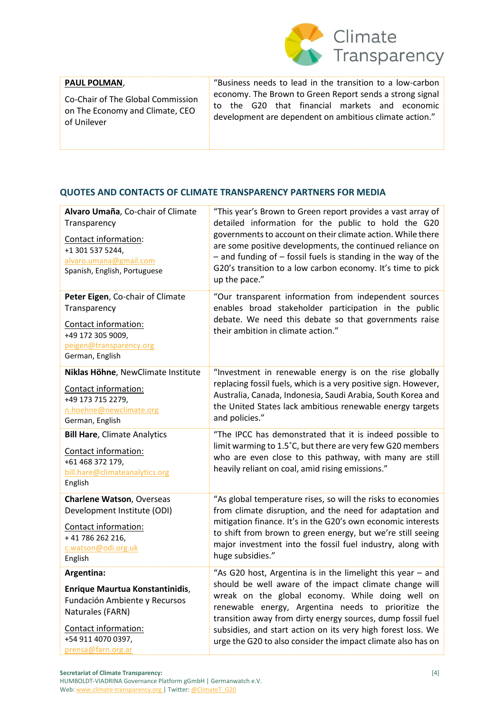

### **PAUL POLMAN**,

Co-Chair of The Global Commission on The Economy and Climate, CEO of Unilever

"Business needs to lead in the transition to a low-carbon economy. The Brown to Green Report sends a strong signal to the G20 that financial markets and economic development are dependent on ambitious climate action."

# **QUOTES AND CONTACTS OF CLIMATE TRANSPARENCY PARTNERS FOR MEDIA**

| Alvaro Umaña, Co-chair of Climate<br>Transparency<br>Contact information:<br>+1 301 537 5244,<br>alvaro.umana@gmail.com<br>Spanish, English, Portuguese | "This year's Brown to Green report provides a vast array of<br>detailed information for the public to hold the G20<br>governments to account on their climate action. While there<br>are some positive developments, the continued reliance on<br>- and funding of - fossil fuels is standing in the way of the<br>G20's transition to a low carbon economy. It's time to pick<br>up the pace." |
|---------------------------------------------------------------------------------------------------------------------------------------------------------|-------------------------------------------------------------------------------------------------------------------------------------------------------------------------------------------------------------------------------------------------------------------------------------------------------------------------------------------------------------------------------------------------|
| Peter Eigen, Co-chair of Climate<br>Transparency<br>Contact information:<br>+49 172 305 9009,<br>peigen@transparency.org<br>German, English             | "Our transparent information from independent sources<br>enables broad stakeholder participation in the public<br>debate. We need this debate so that governments raise<br>their ambition in climate action."                                                                                                                                                                                   |
| Niklas Höhne, NewClimate Institute                                                                                                                      | "Investment in renewable energy is on the rise globally                                                                                                                                                                                                                                                                                                                                         |
| Contact information:                                                                                                                                    | replacing fossil fuels, which is a very positive sign. However,                                                                                                                                                                                                                                                                                                                                 |
| +49 173 715 2279,                                                                                                                                       | Australia, Canada, Indonesia, Saudi Arabia, South Korea and                                                                                                                                                                                                                                                                                                                                     |
| n.hoehne@newclimate.org                                                                                                                                 | the United States lack ambitious renewable energy targets                                                                                                                                                                                                                                                                                                                                       |
| German, English                                                                                                                                         | and policies."                                                                                                                                                                                                                                                                                                                                                                                  |
| <b>Bill Hare, Climate Analytics</b><br>Contact information:<br>+61 468 372 179,<br>bill.hare@climateanalytics.org<br>English                            | "The IPCC has demonstrated that it is indeed possible to<br>limit warming to 1.5°C, but there are very few G20 members<br>who are even close to this pathway, with many are still<br>heavily reliant on coal, amid rising emissions."                                                                                                                                                           |
| <b>Charlene Watson, Overseas</b>                                                                                                                        | "As global temperature rises, so will the risks to economies                                                                                                                                                                                                                                                                                                                                    |
| Development Institute (ODI)                                                                                                                             | from climate disruption, and the need for adaptation and                                                                                                                                                                                                                                                                                                                                        |
| Contact information:                                                                                                                                    | mitigation finance. It's in the G20's own economic interests                                                                                                                                                                                                                                                                                                                                    |
| +41786262216,                                                                                                                                           | to shift from brown to green energy, but we're still seeing                                                                                                                                                                                                                                                                                                                                     |
| c.watson@odi.org.uk                                                                                                                                     | major investment into the fossil fuel industry, along with                                                                                                                                                                                                                                                                                                                                      |
| English                                                                                                                                                 | huge subsidies."                                                                                                                                                                                                                                                                                                                                                                                |
| Argentina:                                                                                                                                              | "As G20 host, Argentina is in the limelight this year - and                                                                                                                                                                                                                                                                                                                                     |
| Enrique Maurtua Konstantinidis,                                                                                                                         | should be well aware of the impact climate change will                                                                                                                                                                                                                                                                                                                                          |
| Fundación Ambiente y Recursos                                                                                                                           | wreak on the global economy. While doing well on                                                                                                                                                                                                                                                                                                                                                |
| Naturales (FARN)                                                                                                                                        | renewable energy, Argentina needs to prioritize the                                                                                                                                                                                                                                                                                                                                             |
| Contact information:                                                                                                                                    | transition away from dirty energy sources, dump fossil fuel                                                                                                                                                                                                                                                                                                                                     |
| +54 911 4070 0397,                                                                                                                                      | subsidies, and start action on its very high forest loss. We                                                                                                                                                                                                                                                                                                                                    |
| prensa@farn.org.ar                                                                                                                                      | urge the G20 to also consider the impact climate also has on                                                                                                                                                                                                                                                                                                                                    |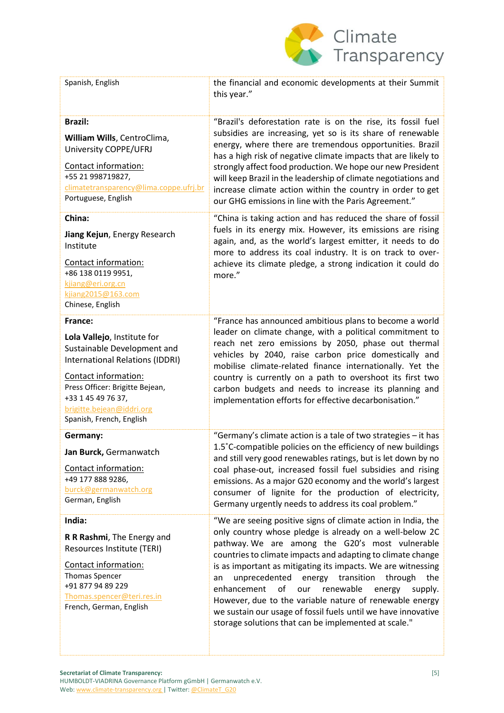

| Spanish, English                                                                                                                                                                                                                                   | the financial and economic developments at their Summit<br>this year."                                                                                                                                                                                                                                                                                                                                                                                                                                                                                                                                                  |
|----------------------------------------------------------------------------------------------------------------------------------------------------------------------------------------------------------------------------------------------------|-------------------------------------------------------------------------------------------------------------------------------------------------------------------------------------------------------------------------------------------------------------------------------------------------------------------------------------------------------------------------------------------------------------------------------------------------------------------------------------------------------------------------------------------------------------------------------------------------------------------------|
| <b>Brazil:</b><br>William Wills, CentroClima,<br>University COPPE/UFRJ<br>Contact information:<br>+55 21 998719827,<br>climatetransparency@lima.coppe.ufrj.br<br>Portuguese, English                                                               | "Brazil's deforestation rate is on the rise, its fossil fuel<br>subsidies are increasing, yet so is its share of renewable<br>energy, where there are tremendous opportunities. Brazil<br>has a high risk of negative climate impacts that are likely to<br>strongly affect food production. We hope our new President<br>will keep Brazil in the leadership of climate negotiations and<br>increase climate action within the country in order to get<br>our GHG emissions in line with the Paris Agreement."                                                                                                          |
| China:<br>Jiang Kejun, Energy Research<br>Institute<br>Contact information:<br>+86 138 0119 9951,<br>kjiang@eri.org.cn<br>kjiang2015@163.com<br>Chinese, English                                                                                   | "China is taking action and has reduced the share of fossil<br>fuels in its energy mix. However, its emissions are rising<br>again, and, as the world's largest emitter, it needs to do<br>more to address its coal industry. It is on track to over-<br>achieve its climate pledge, a strong indication it could do<br>more."                                                                                                                                                                                                                                                                                          |
| France:<br>Lola Vallejo, Institute for<br>Sustainable Development and<br>International Relations (IDDRI)<br>Contact information:<br>Press Officer: Brigitte Bejean,<br>+33 1 45 49 76 37,<br>brigitte.bejean@iddri.org<br>Spanish, French, English | "France has announced ambitious plans to become a world<br>leader on climate change, with a political commitment to<br>reach net zero emissions by 2050, phase out thermal<br>vehicles by 2040, raise carbon price domestically and<br>mobilise climate-related finance internationally. Yet the<br>country is currently on a path to overshoot its first two<br>carbon budgets and needs to increase its planning and<br>implementation efforts for effective decarbonisation."                                                                                                                                        |
| Germany:<br>Jan Burck, Germanwatch<br>Contact information:<br>+49 177 888 9286,<br>burck@germanwatch.org<br>German, English                                                                                                                        | "Germany's climate action is a tale of two strategies - it has<br>1.5°C-compatible policies on the efficiency of new buildings<br>and still very good renewables ratings, but is let down by no<br>coal phase-out, increased fossil fuel subsidies and rising<br>emissions. As a major G20 economy and the world's largest<br>consumer of lignite for the production of electricity,<br>Germany urgently needs to address its coal problem."                                                                                                                                                                            |
| India:<br>R R Rashmi, The Energy and<br>Resources Institute (TERI)<br>Contact information:<br><b>Thomas Spencer</b><br>+91 877 94 89 229<br>Thomas.spencer@teri.res.in<br>French, German, English                                                  | "We are seeing positive signs of climate action in India, the<br>only country whose pledge is already on a well-below 2C<br>pathway. We are among the G20's most vulnerable<br>countries to climate impacts and adapting to climate change<br>is as important as mitigating its impacts. We are witnessing<br>unprecedented energy transition<br>through<br>the<br>an<br>enhancement<br>of<br>renewable<br>our<br>energy<br>supply.<br>However, due to the variable nature of renewable energy<br>we sustain our usage of fossil fuels until we have innovative<br>storage solutions that can be implemented at scale." |